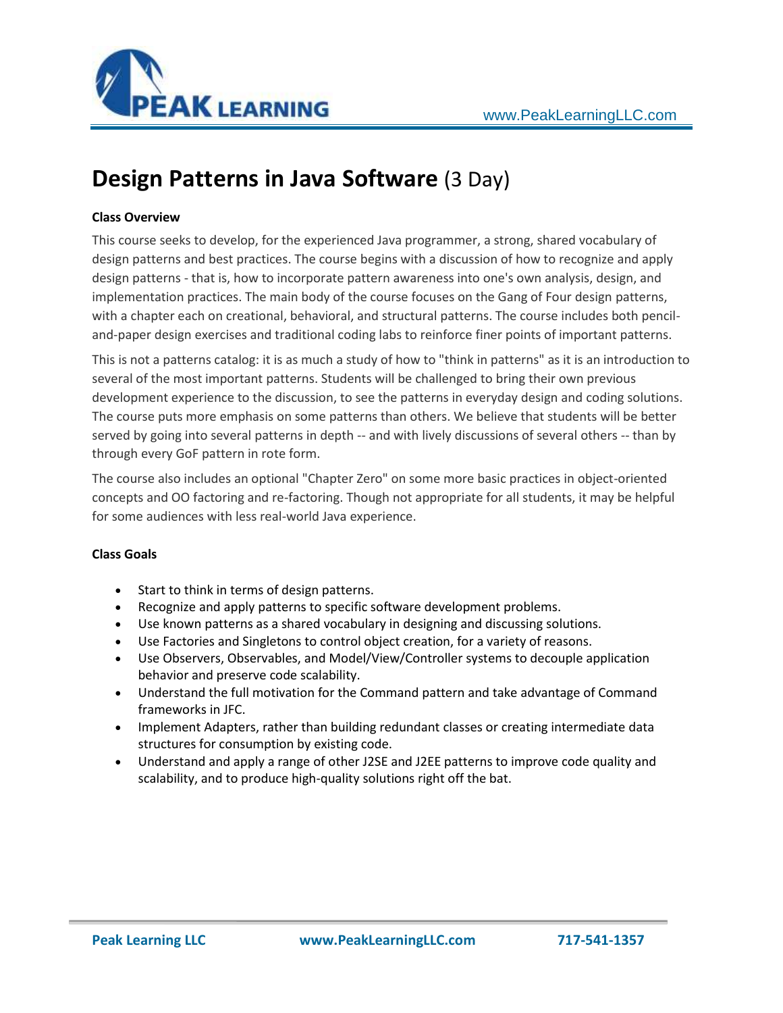

# **Design Patterns in Java Software** (3 Day)

# **Class Overview**

This course seeks to develop, for the experienced Java programmer, a strong, shared vocabulary of design patterns and best practices. The course begins with a discussion of how to recognize and apply design patterns - that is, how to incorporate pattern awareness into one's own analysis, design, and implementation practices. The main body of the course focuses on the Gang of Four design patterns, with a chapter each on creational, behavioral, and structural patterns. The course includes both penciland-paper design exercises and traditional coding labs to reinforce finer points of important patterns.

This is not a patterns catalog: it is as much a study of how to "think in patterns" as it is an introduction to several of the most important patterns. Students will be challenged to bring their own previous development experience to the discussion, to see the patterns in everyday design and coding solutions. The course puts more emphasis on some patterns than others. We believe that students will be better served by going into several patterns in depth -- and with lively discussions of several others -- than by through every GoF pattern in rote form.

The course also includes an optional "Chapter Zero" on some more basic practices in object-oriented concepts and OO factoring and re-factoring. Though not appropriate for all students, it may be helpful for some audiences with less real-world Java experience.

## **Class Goals**

- Start to think in terms of design patterns.
- Recognize and apply patterns to specific software development problems.
- Use known patterns as a shared vocabulary in designing and discussing solutions.
- Use Factories and Singletons to control object creation, for a variety of reasons.
- Use Observers, Observables, and Model/View/Controller systems to decouple application behavior and preserve code scalability.
- Understand the full motivation for the Command pattern and take advantage of Command frameworks in JFC.
- Implement Adapters, rather than building redundant classes or creating intermediate data structures for consumption by existing code.
- Understand and apply a range of other J2SE and J2EE patterns to improve code quality and scalability, and to produce high-quality solutions right off the bat.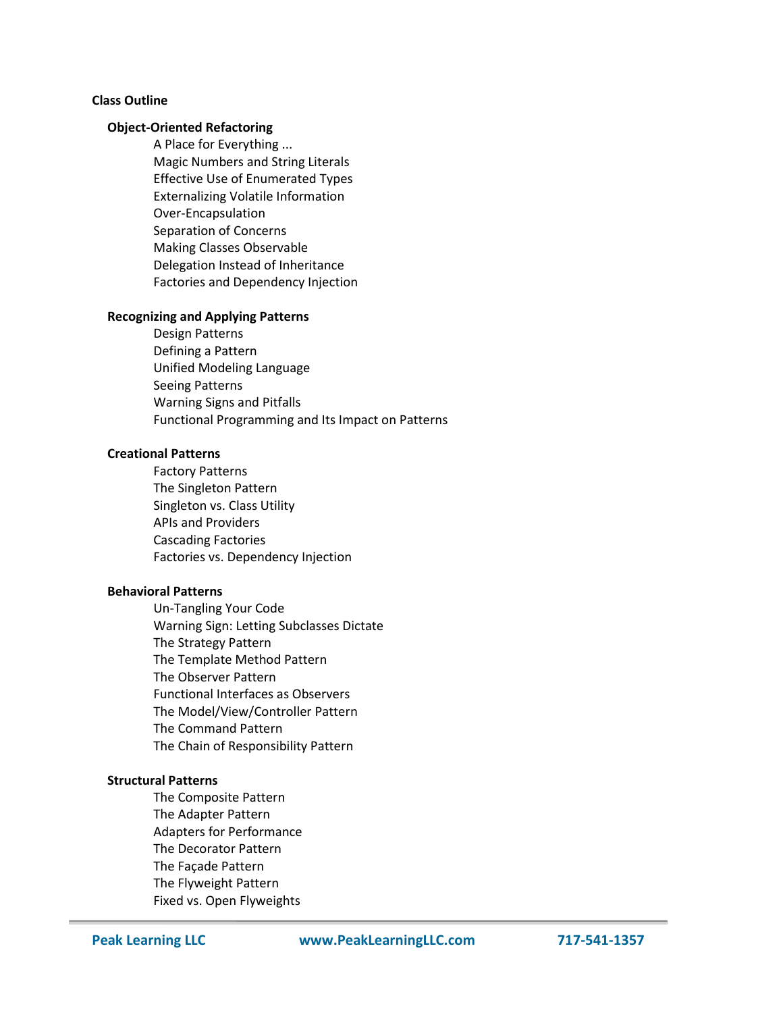## **Class Outline**

## **Object-Oriented Refactoring**

A Place for Everything ... Magic Numbers and String Literals Effective Use of Enumerated Types Externalizing Volatile Information Over-Encapsulation Separation of Concerns Making Classes Observable Delegation Instead of Inheritance Factories and Dependency Injection

### **Recognizing and Applying Patterns**

Design Patterns Defining a Pattern Unified Modeling Language Seeing Patterns Warning Signs and Pitfalls Functional Programming and Its Impact on Patterns

#### **Creational Patterns**

Factory Patterns The Singleton Pattern Singleton vs. Class Utility APIs and Providers Cascading Factories Factories vs. Dependency Injection

#### **Behavioral Patterns**

Un-Tangling Your Code Warning Sign: Letting Subclasses Dictate The Strategy Pattern The Template Method Pattern The Observer Pattern Functional Interfaces as Observers The Model/View/Controller Pattern The Command Pattern The Chain of Responsibility Pattern

#### **Structural Patterns**

The Composite Pattern The Adapter Pattern Adapters for Performance The Decorator Pattern The Façade Pattern The Flyweight Pattern Fixed vs. Open Flyweights